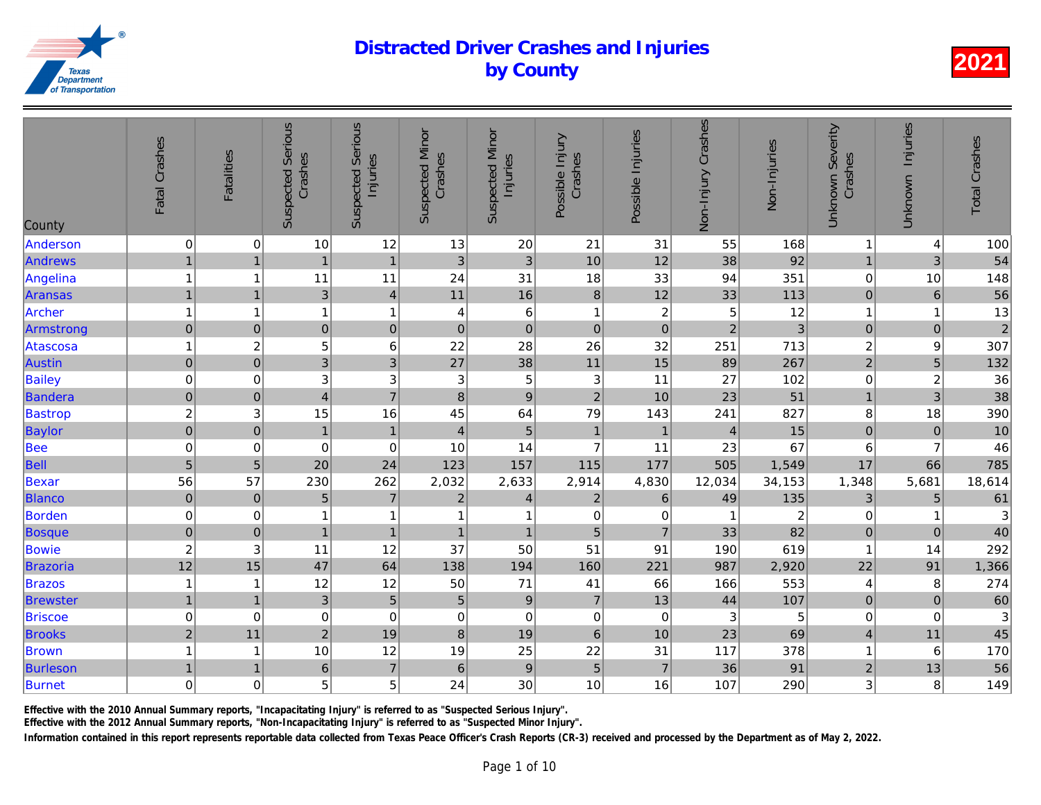| County          | Fatal Crashes           | <b>Fatalities</b>         | <b>Suspected Serious</b><br>Crashes | <b>Suspected Serious</b><br>Injuries | <b>Suspected Minor</b><br>Crashes | <b>Suspected Minor</b><br>Injuries | Possible Injury<br>Crashes | Possible Injuries | Non-Injury Crashes | Non-Injuries   |
|-----------------|-------------------------|---------------------------|-------------------------------------|--------------------------------------|-----------------------------------|------------------------------------|----------------------------|-------------------|--------------------|----------------|
| Anderson        | $\pmb{0}$               | 0                         | 10                                  | 12                                   | 13                                | 20                                 | 21                         | 31                | 55                 | 168            |
| Andrews         | $\mathbf{1}$            | $\overline{1}$            | $\mathbf{1}$                        | $\mathbf{1}$                         | 3                                 | $\sqrt{3}$                         | 10                         | 12                | 38                 | 92             |
| Angelina        | $\mathbf{1}$            | 1                         | 11                                  | 11                                   | 24                                | 31                                 | 18                         | 33                | 94                 | 351            |
| <b>Aransas</b>  | $\mathbf{1}$            | $\overline{1}$            | $\mathfrak{S}$                      | $\overline{4}$                       | 11                                | 16                                 | $\bf 8$                    | 12                | 33                 | 113            |
| Archer          | $\mathbf{1}$            | 1                         | 1                                   | $\mathbf{1}$                         | 4                                 | $\,6$                              | $\mathbf{1}$               | $\overline{c}$    | 5                  | 12             |
| Armstrong       | $\mathbf 0$             | $\pmb{0}$                 | $\mathbf 0$                         | $\mathbf 0$                          | $\pmb{0}$                         | $\mathbf 0$                        | $\pmb{0}$                  | $\pmb{0}$         | $\overline{2}$     | 3              |
| Atascosa        | $\mathbf{1}$            | $\boldsymbol{2}$          | 5                                   | 6                                    | 22                                | 28                                 | 26                         | 32                | 251                | 713            |
| <b>Austin</b>   | $\overline{0}$          | $\pmb{0}$                 | 3                                   | 3                                    | 27                                | 38                                 | 11                         | 15                | 89                 | 267            |
| Bailey          | $\mathbf 0$             | $\mathbf 0$               | $\ensuremath{\mathsf{3}}$           | 3                                    | 3                                 | $\mathbf 5$                        | $\sqrt{3}$                 | 11                | 27                 | 102            |
| Bandera         | $\mathbf 0$             | $\pmb{0}$                 | $\overline{4}$                      | $\overline{7}$                       | $\bf8$                            | $\boldsymbol{9}$                   | $\overline{c}$             | 10                | 23                 | 51             |
| <b>Bastrop</b>  | $\overline{\mathbf{c}}$ | 3                         | 15                                  | 16                                   | 45                                | 64                                 | 79                         | 143               | 241                | 827            |
| Baylor          | $\overline{0}$          | $\pmb{0}$                 | $\mathbf{1}$                        | $\mathbf{1}$                         | $\overline{\mathbf{4}}$           | $\sqrt{5}$                         | $\mathbf{1}$               | $\mathbf{1}$      | $\overline{4}$     | 15             |
| Bee             | $\mathbf 0$             | 0                         | $\pmb{0}$                           | $\mathbf 0$                          | 10                                | 14                                 | $\overline{7}$             | 11                | 23                 | 67             |
| Bell            | $\overline{5}$          | $\overline{5}$            | 20                                  | 24                                   | 123                               | 157                                | 115                        | 177               | 505                | 1,549          |
| Bexar           | 56                      | 57                        | 230                                 | 262                                  | 2,032                             | 2,633                              | 2,914                      | 4,830             | 12,034             | 34,153         |
| <b>Blanco</b>   | $\pmb{0}$               | $\pmb{0}$                 | $\overline{5}$                      | $\overline{7}$                       | $\boldsymbol{2}$                  | 4                                  | $\boldsymbol{2}$           | $\,6$             | 49                 | 135            |
| Borden          | $\pmb{0}$               | 0                         | 1                                   | 1                                    | $\overline{\mathbf{1}}$           | 1                                  | $\pmb{0}$                  | 0                 |                    | $\overline{a}$ |
| <b>Bosque</b>   | $\mathbf 0$             | $\pmb{0}$                 | $\mathbf{1}$                        | $\mathbf{1}$                         | $\mathbf{1}$                      | $\mathbf{1}$                       | 5                          | $\overline{7}$    | 33                 | 82             |
| Bowie           | $\overline{c}$          | $\ensuremath{\mathsf{3}}$ | 11                                  | 12                                   | 37                                | 50                                 | 51                         | 91                | 190                | 619            |
| Brazoria        | 12                      | 15                        | 47                                  | 64                                   | 138                               | 194                                | 160                        | 221               | 987                | 2,920          |
| <b>Brazos</b>   | $\mathbf{1}$            | -1                        | 12                                  | 12                                   | 50                                | $71$                               | 41                         | 66                | 166                | 553            |
| <b>Brewster</b> | $\mathbf{1}$            | $\overline{1}$            | $\mathbf{3}$                        | $\overline{5}$                       | $\overline{5}$                    | $\boldsymbol{9}$                   | $\overline{7}$             | 13                | 44                 | 107            |
| <b>Briscoe</b>  | $\pmb{0}$               | 0                         | $\pmb{0}$                           | $\mathbf 0$                          | $\,0\,$                           | $\pmb{0}$                          | $\pmb{0}$                  | $\pmb{0}$         | 3                  | $\overline{5}$ |
| <b>Brooks</b>   | $\overline{c}$          | 11                        | $\overline{2}$                      | 19                                   | $\bf{8}$                          | 19                                 | $6\phantom{1}$             | 10                | 23                 | 69             |
| <b>Brown</b>    | $\mathbf{1}$            | -1                        | 10                                  | 12                                   | 19                                | 25                                 | 22                         | 31                | 117                | 378            |
| <b>Burleson</b> | $\mathbf{1}$            | $\mathbf 1$               | 6                                   | $\overline{7}$                       | $\,$ 6 $\,$                       | $\boldsymbol{9}$                   | $\overline{5}$             | $\overline{7}$    | 36                 | 91             |
| <b>Burnet</b>   | 0                       | 0                         | 5                                   | 5                                    | 24                                | 30                                 | 10                         | 16                | 107                | 290            |
|                 |                         |                           |                                     |                                      |                                   |                                    |                            |                   |                    |                |

Effective with the 2010 Annual Summary reports, "Incapacitating Injury" is referred to as "Suspected Serious Injury".

Effective with the 2012 Annual Summary reports, "Non-Incapacitating Injury" is referred to as "Suspected Minor Injury".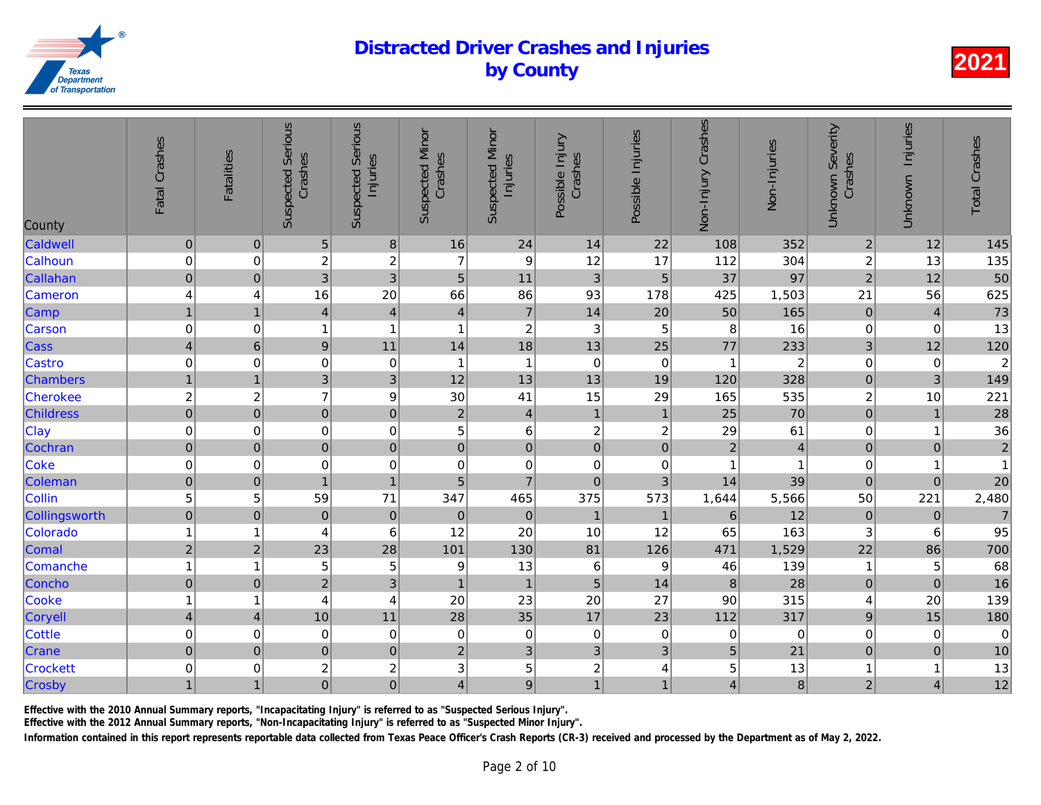| County           | Fatal Crashes            | <b>Fatalities</b> | <b>Suspected Serious</b><br>Crashes | Serious<br>Injuries<br>Suspected | <b>Suspected Minor</b><br>Crashes | <b>Suspected Minor</b><br>Injuries | Possible Injury<br>Crashes | Possible Injuries | Non-Injury Crashes      | Non-Injuries   |
|------------------|--------------------------|-------------------|-------------------------------------|----------------------------------|-----------------------------------|------------------------------------|----------------------------|-------------------|-------------------------|----------------|
| Caldwell         | $\pmb{0}$                | $\boldsymbol{0}$  | 5                                   | $\,8\,$                          | 16                                | 24                                 | 14                         | 22                | 108                     | 352            |
| Calhoun          | $\mathbf 0$              | 0                 | $\boldsymbol{2}$                    | $\overline{c}$                   | $\overline{7}$                    | $\boldsymbol{9}$                   | 12                         | 17                | 112                     | 304            |
| Callahan         | $\pmb{0}$                | $\mathbf 0$       | 3                                   | $\mathbf{3}$                     | $5\phantom{.}$                    | 11                                 | 3                          | $\overline{5}$    | 37                      | 97             |
| Cameron          | 4                        | 4                 | 16                                  | 20                               | 66                                | 86                                 | 93                         | 178               | 425                     | 1,503          |
| Camp             | $\mathbf{1}$             | $\overline{1}$    | $\overline{\mathbf{4}}$             | $\overline{4}$                   | $\overline{\mathbf{4}}$           | $\overline{7}$                     | 14                         | 20                | 50                      | 165            |
| Carson           | $\mathbf 0$              | $\mathbf 0$       | 1                                   | $\mathbf{1}$                     | 1                                 | $\overline{c}$                     | $\sqrt{3}$                 | 5                 | 8                       | 16             |
| Cass             | $\overline{\mathcal{L}}$ | $\,6$             | $\boldsymbol{9}$                    | 11                               | 14                                | 18                                 | 13                         | 25                | 77                      | 233            |
| Castro           | $\pmb{0}$                | 0                 | 0                                   | $\mathbf 0$                      | 1                                 | $\mathbf{1}$                       | $\pmb{0}$                  | 0                 | 1                       | $\overline{a}$ |
| <b>Chambers</b>  | $\mathbf{1}$             | $\overline{1}$    | 3                                   | 3                                | 12                                | 13                                 | 13                         | 19                | 120                     | 328            |
| Cherokee         | $\overline{c}$           | $\overline{c}$    | $\overline{7}$                      | 9                                | 30                                | 41                                 | 15                         | 29                | 165                     | 535            |
| <b>Childress</b> | $\overline{0}$           | $\pmb{0}$         | $\overline{0}$                      | $\mathbf 0$                      | $\mathbf 2$                       | $\overline{4}$                     | $\mathbf{1}$               | $\overline{1}$    | 25                      | 70             |
| Clay             | $\pmb{0}$                | $\mathbf 0$       | $\mathbf 0$                         | $\mathbf 0$                      | 5                                 | 6                                  | $\boldsymbol{2}$           | $\boldsymbol{2}$  | 29                      | 61             |
| Cochran          | $\overline{0}$           | $\mathbf 0$       | $\overline{0}$                      | $\mathbf 0$                      | $\overline{0}$                    | $\overline{0}$                     | $\mathbf 0$                | $\mathbf 0$       | $\overline{2}$          | $\overline{4}$ |
| Coke             | $\mathbf 0$              | 0                 | $\mathbf 0$                         | $\mathbf 0$                      | $\mathbf 0$                       | $\mathbf 0$                        | $\pmb{0}$                  | 0                 | 1                       | $\overline{1}$ |
| Coleman          | $\pmb{0}$                | $\mathbf 0$       | 1                                   | $\mathbf{1}$                     | 5                                 | $\overline{7}$                     | $\mathbf 0$                | 3                 | 14                      | 39             |
| Collin           | 5                        | 5                 | 59                                  | 71                               | 347                               | 465                                | 375                        | 573               | 1,644                   | 5,566          |
| Collingsworth    | $\pmb{0}$                | $\pmb{0}$         | $\pmb{0}$                           | $\boldsymbol{0}$                 | $\pmb{0}$                         | $\pmb{0}$                          | $\mathbf{1}$               | $\overline{1}$    | 6                       | 12             |
| Colorado         | $\mathbf{1}$             | 1                 | 4                                   | $6\phantom{1}6$                  | 12                                | 20                                 | 10                         | 12                | 65                      | 163            |
| Comal            | $\mathbf 2$              | $\overline{2}$    | 23                                  | 28                               | 101                               | 130                                | 81                         | 126               | 471                     | 1,529          |
| Comanche         | $\mathbf{1}$             | 1                 | 5                                   | 5                                | 9                                 | 13                                 | 6                          | 9                 | 46                      | 139            |
| Concho           | $\mathbf 0$              | $\mathbf 0$       | $\overline{2}$                      | 3                                | $\overline{1}$                    | $\mathbf{1}$                       | $\overline{5}$             | 14                | 8                       | 28             |
| Cooke            | $\mathbf{1}$             | 1                 | 4                                   | 4                                | 20                                | 23                                 | 20                         | 27                | 90                      | 315            |
| Coryell          | $\overline{\mathbf{4}}$  | $\overline{4}$    | 10                                  | 11                               | 28                                | 35                                 | 17                         | 23                | 112                     | 317            |
| Cottle           | $\mathbf 0$              | $\mathbf 0$       | $\mathbf 0$                         | $\mathbf 0$                      | $\mathbf 0$                       | $\pmb{0}$                          | $\mathbf 0$                | 0                 | $\Omega$                | $\overline{0}$ |
| Crane            | $\mathbf 0$              | $\mathbf 0$       | $\overline{0}$                      | $\mathbf 0$                      | $\overline{2}$                    | 3                                  | 3                          | $\mathbf{3}$      | 5                       | 21             |
| <b>Crockett</b>  | $\mathbf 0$              | 0                 | $\boldsymbol{2}$                    | $\overline{c}$                   | 3                                 | 5                                  | $\overline{c}$             | 4                 | 5                       | 13             |
| Crosby           | $\mathbf{1}$             | $\mathbf{1}$      | $\overline{0}$                      | $\overline{0}$                   | 4                                 | 9                                  | $\mathbf{1}$               |                   | $\overline{\mathbf{4}}$ | $\bf{8}$       |

Effective with the 2010 Annual Summary reports, "Incapacitating Injury" is referred to as "Suspected Serious Injury".

Effective with the 2012 Annual Summary reports, "Non-Incapacitating Injury" is referred to as "Suspected Minor Injury".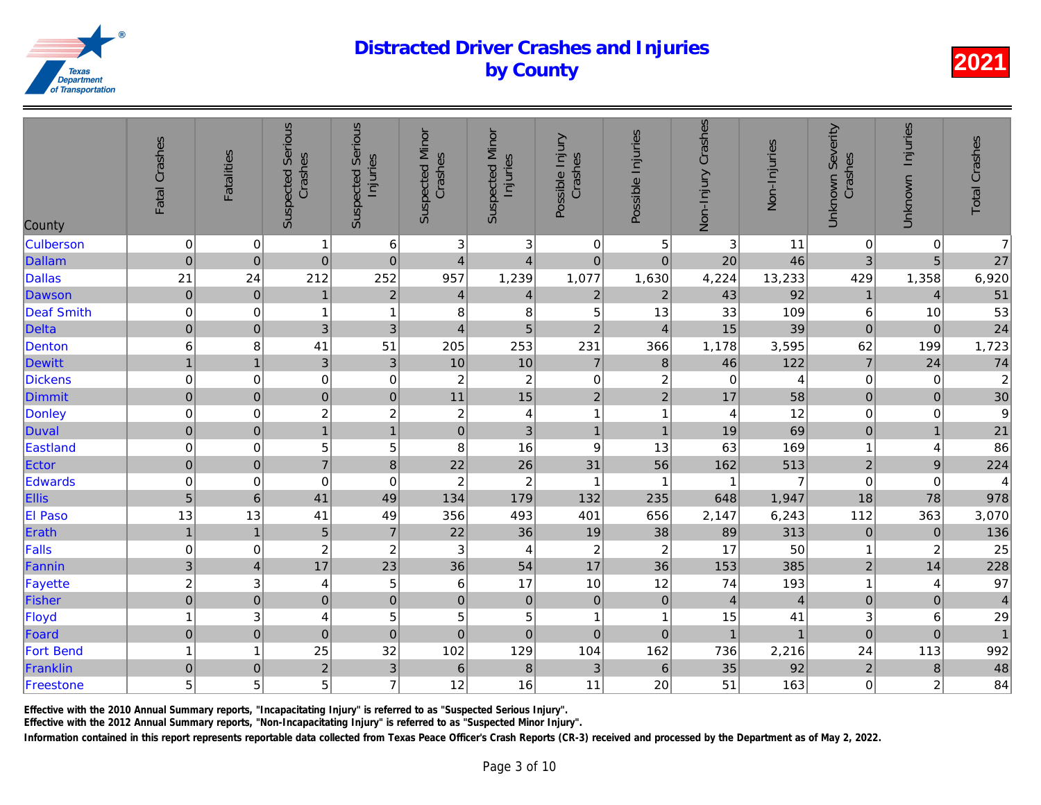| County           | Fatal Crashes             | <b>Fatalities</b> | <b>Suspected Serious</b><br>Crashes | <b>Suspected Serious</b><br>Injuries | <b>Suspected Minor</b><br>Crashes | <b>Suspected Minor</b><br>Injuries | Possible Injury<br>Crashes | Possible Injuries       | Non-Injury Crashes | Non-Injuries   |
|------------------|---------------------------|-------------------|-------------------------------------|--------------------------------------|-----------------------------------|------------------------------------|----------------------------|-------------------------|--------------------|----------------|
| <b>Culberson</b> | $\mathbf 0$               | 0                 | 1                                   | 6                                    | 3                                 | 3                                  | $\pmb{0}$                  | 5                       | 3                  | 11             |
| <b>Dallam</b>    | $\mathbf 0$               | $\mathbf 0$       | $\mathbf 0$                         | $\pmb{0}$                            | $\overline{\mathbf{4}}$           | $\overline{\mathbf{4}}$            | $\pmb{0}$                  | $\mathbf 0$             | 20                 | 46             |
| <b>Dallas</b>    | 21                        | 24                | 212                                 | 252                                  | 957                               | 1,239                              | 1,077                      | 1,630                   | 4,224              | 13,233         |
| Dawson           | $\overline{0}$            | $\pmb{0}$         | $\overline{1}$                      | $\overline{2}$                       | 4                                 | $\overline{\mathbf{4}}$            | $\overline{c}$             | $\overline{2}$          | 43                 | 92             |
| Deaf Smith       | $\pmb{0}$                 | 0                 | 1                                   | $\mathbf{1}$                         | 8                                 | 8                                  | 5                          | 13                      | 33                 | 109            |
| <b>Delta</b>     | $\mathbf 0$               | $\boldsymbol{0}$  | 3                                   | 3                                    | $\overline{4}$                    | 5                                  | $\overline{c}$             | $\overline{4}$          | 15                 | 39             |
| Denton           | $6\phantom{1}6$           | 8                 | 41                                  | 51                                   | 205                               | 253                                | 231                        | 366                     | 1,178              | 3,595          |
| Dewitt           | $\mathbf{1}$              | $\mathbf{1}$      | $\mathfrak{3}$                      | $\mathfrak{3}$                       | 10                                | 10                                 | $\overline{7}$             | $\bf 8$                 | 46                 | 122            |
| Dickens          | $\mathbf 0$               | $\mathbf 0$       | $\boldsymbol{0}$                    | $\mathbf 0$                          | $\overline{c}$                    | $\boldsymbol{2}$                   | $\boldsymbol{0}$           | $\boldsymbol{2}$        | $\mathbf 0$        | $\overline{4}$ |
| Dimmit           | $\mathbf 0$               | $\overline{0}$    | $\mathbf 0$                         | $\pmb{0}$                            | 11                                | 15                                 | $\overline{2}$             | $\overline{2}$          | 17                 | 58             |
| Donley           | $\mathbf 0$               | 0                 | 2                                   | $\overline{c}$                       | $\boldsymbol{2}$                  | $\overline{\mathbf{r}}$            | $\mathbf{1}$               | -1                      | $\overline{4}$     | 12             |
| Duval            | $\overline{0}$            | $\pmb{0}$         | $\overline{1}$                      | $\overline{1}$                       | $\mathbf 0$                       | 3                                  | $\mathbf{1}$               | $\overline{1}$          | 19                 | 69             |
| Eastland         | $\mathbf 0$               | 0                 | 5                                   | 5                                    | 8                                 | 16                                 | $\boldsymbol{9}$           | 13                      | 63                 | 169            |
| Ector            | $\pmb{0}$                 | $\pmb{0}$         | $\overline{7}$                      | 8                                    | 22                                | 26                                 | 31                         | 56                      | 162                | 513            |
| Edwards          | $\mathbf 0$               | $\mathbf 0$       | $\mathbf 0$                         | $\mathbf 0$                          | $\overline{c}$                    | $\boldsymbol{2}$                   | $\mathbf{1}$               | -1                      | 1                  | $\overline{7}$ |
| Ellis            | $\overline{5}$            | $\,$ 6            | 41                                  | 49                                   | 134                               | 179                                | 132                        | 235                     | 648                | 1,947          |
| El Paso          | 13                        | 13                | 41                                  | 49                                   | 356                               | 493                                | 401                        | 656                     | 2,147              | 6,243          |
| Erath            | $\mathbf{1}$              | $\mathbf{1}$      | $\sqrt{5}$                          | $\overline{7}$                       | 22                                | 36                                 | 19                         | 38                      | 89                 | 313            |
| Falls            | $\pmb{0}$                 | 0                 | $\boldsymbol{2}$                    | $\overline{c}$                       | $\mathbf{3}$                      | 4                                  | $\boldsymbol{2}$           | $\overline{c}$          | 17                 | 50             |
| Fannin           | $\ensuremath{\mathsf{3}}$ | 4                 | 17                                  | 23                                   | 36                                | 54                                 | 17                         | 36                      | 153                | 385            |
| Fayette          | $\overline{c}$            | 3                 | 4                                   | 5                                    | 6                                 | 17                                 | 10                         | 12                      | 74                 | 193            |
| Fisher           | $\overline{0}$            | $\mathbf 0$       | $\mathbf 0$                         | $\mathbf 0$                          | $\mathbf 0$                       | $\mathbf 0$                        | $\pmb{0}$                  | $\pmb{0}$               | $\overline{4}$     | $\overline{a}$ |
| Floyd            | $\mathbf{1}$              | 3                 | 4                                   | 5                                    | 5                                 | 5                                  | $\mathbf{1}$               | $\overline{\mathbf{1}}$ | 15                 | 41             |
| Foard            | $\mathbf 0$               | $\mathbf 0$       | $\pmb{0}$                           | $\mathbf 0$                          | $\mathbf 0$                       | $\mathbf 0$                        | $\mathbf 0$                | $\pmb{0}$               | $\overline{1}$     | $\overline{1}$ |
| <b>Fort Bend</b> | $\mathbf{1}$              | $\overline{1}$    | 25                                  | 32                                   | 102                               | 129                                | 104                        | 162                     | 736                | 2,216          |
| Franklin         | $\pmb{0}$                 | $\pmb{0}$         | $\overline{2}$                      | 3                                    | $\,$ 6                            | $\bf8$                             | $\mathbf{3}$               | $\,6$                   | 35                 | 92             |
| Freestone        | 5                         | 5                 | 5                                   | $\overline{7}$                       | 12                                | 16                                 | 11                         | 20                      | 51                 | 163            |
|                  |                           |                   |                                     |                                      |                                   |                                    |                            |                         |                    |                |

Effective with the 2010 Annual Summary reports, "Incapacitating Injury" is referred to as "Suspected Serious Injury".

Effective with the 2012 Annual Summary reports, "Non-Incapacitating Injury" is referred to as "Suspected Minor Injury".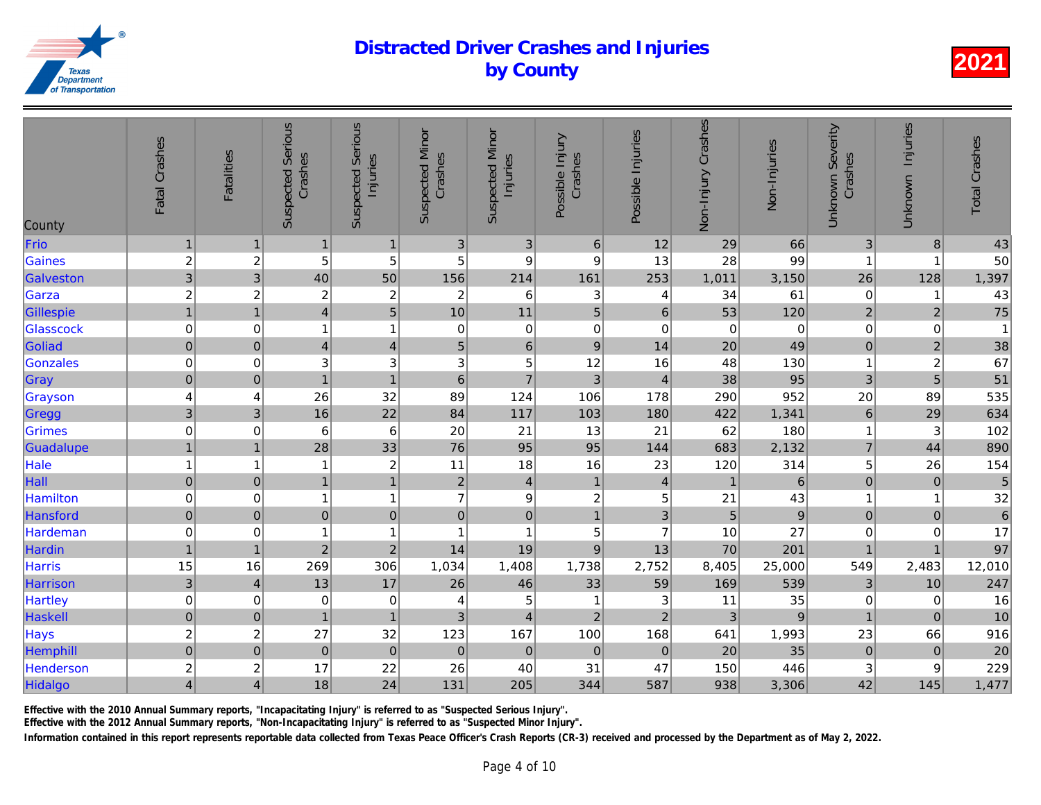| County    | Fatal Crashes           | <b>Fatalities</b>       | <b>Suspected Serious</b><br>Crashes | <b>Suspected Serious</b><br>Injuries | <b>Suspected Minor</b><br>Crashes | <b>Suspected Minor</b><br>Injuries | Possible Injury<br>Crashes | Possible Injuries | Non-Injury Crashes | Non-Injuries    |
|-----------|-------------------------|-------------------------|-------------------------------------|--------------------------------------|-----------------------------------|------------------------------------|----------------------------|-------------------|--------------------|-----------------|
| Frio      | $\mathbf{1}$            | $\mathbf 1$             | 1                                   | $\mathbf{1}$                         | 3                                 | $\ensuremath{\mathsf{3}}$          | $\,6$                      | 12                | 29                 | 66              |
| Gaines    | $\overline{c}$          | $\boldsymbol{2}$        | 5                                   | 5                                    | 5                                 | 9                                  | $\boldsymbol{9}$           | 13                | 28                 | 99              |
| Galveston | $\overline{3}$          | $\mathbf{3}$            | 40                                  | 50                                   | 156                               | 214                                | 161                        | 253               | 1,011              | 3,150           |
| Garza     | $\overline{c}$          | $\overline{c}$          | $\boldsymbol{2}$                    | $\overline{c}$                       | $\overline{c}$                    | $\,6$                              | $\sqrt{3}$                 | 4                 | 34                 | 61              |
| Gillespie | $\mathbf{1}$            | $\overline{1}$          | $\overline{4}$                      | 5                                    | 10                                | 11                                 | $\overline{5}$             | $\,6$             | 53                 | 120             |
| Glasscock | $\mathbf 0$             | 0                       | 1                                   | $\mathbf{1}$                         | 0                                 | $\pmb{0}$                          | $\mathbf 0$                | $\mathbf 0$       | $\mathbf 0$        | $\overline{0}$  |
| Goliad    | $\overline{0}$          | $\pmb{0}$               | $\overline{4}$                      | $\overline{\mathbf{4}}$              | 5                                 | $\,6\,$                            | $\boldsymbol{9}$           | 14                | 20                 | 49              |
| Gonzales  | $\pmb{0}$               | 0                       | $\ensuremath{\mathsf{3}}$           | 3                                    | 3                                 | 5                                  | 12                         | 16                | 48                 | 130             |
| Gray      | $\mathbf 0$             | $\pmb{0}$               | $\overline{1}$                      | $\mathbf{1}$                         | $6\phantom{1}$                    | $\overline{7}$                     | 3                          | $\overline{4}$    | 38                 | 95              |
| Grayson   | 4                       | 4                       | 26                                  | 32                                   | 89                                | 124                                | 106                        | 178               | 290                | 952             |
| Gregg     | 3                       | 3                       | 16                                  | 22                                   | 84                                | 117                                | 103                        | 180               | 422                | 1,341           |
| Grimes    | $\boldsymbol{0}$        | 0                       | 6                                   | $\,6$                                | 20                                | 21                                 | 13                         | 21                | 62                 | 180             |
| Guadalupe | $\overline{1}$          | $\overline{1}$          | 28                                  | 33                                   | 76                                | 95                                 | 95                         | 144               | 683                | 2,132           |
| Hale      | $\mathbf{1}$            | $\overline{1}$          | 1                                   | $\overline{\mathbf{c}}$              | 11                                | 18                                 | 16                         | 23                | 120                | 314             |
| Hall      | $\pmb{0}$               | $\overline{0}$          | $\overline{1}$                      | $\overline{1}$                       | $\mathbf 2$                       | $\overline{4}$                     | $\mathbf{1}$               | $\overline{4}$    | $\mathbf{1}$       | $6\phantom{.}6$ |
| Hamilton  | $\pmb{0}$               | 0                       | 1                                   | $\mathbf{1}$                         | $\overline{7}$                    | $\boldsymbol{9}$                   | $\overline{\mathbf{c}}$    | 5                 | 21                 | 43              |
| Hansford  | $\overline{0}$          | $\pmb{0}$               | $\pmb{0}$                           | $\pmb{0}$                            | $\pmb{0}$                         | $\mathbf 0$                        | $\mathbf{1}$               | 3                 | 5                  | $\overline{9}$  |
| Hardeman  | $\mathbf 0$             | 0                       | 1                                   | $\mathbf{1}$                         | $\overline{\mathbf{1}}$           | 1                                  | 5                          | $\overline{7}$    | 10                 | 27              |
| Hardin    | $\mathbf{1}$            | $\overline{1}$          | $\overline{2}$                      | $\overline{2}$                       | 14                                | 19                                 | $9$                        | 13                | 70                 | 201             |
| Harris    | 15                      | 16                      | 269                                 | 306                                  | 1,034                             | 1,408                              | 1,738                      | 2,752             | 8,405              | 25,000          |
| Harrison  | $\overline{3}$          | $\overline{4}$          | 13                                  | 17                                   | 26                                | 46                                 | 33                         | 59                | 169                | 539             |
| Hartley   | $\mathbf 0$             | 0                       | $\mathbf 0$                         | $\mathbf 0$                          | 4                                 | 5                                  | $\mathbf{1}$               | 3                 | 11                 | 35              |
| Haskell   | $\pmb{0}$               | $\mathbf 0$             | $\mathbf{1}$                        | $\mathbf{1}$                         | $\mathfrak{S}$                    | $\overline{4}$                     | $\overline{2}$             | $\overline{2}$    | $\mathfrak{Z}$     | $\overline{9}$  |
| Hays      | $\overline{c}$          | $\overline{\mathbf{c}}$ | 27                                  | 32                                   | 123                               | 167                                | 100                        | 168               | 641                | 1,993           |
| Hemphill  | $\pmb{0}$               | $\overline{0}$          | $\pmb{0}$                           | $\bf 0$                              | $\mathbf 0$                       | $\pmb{0}$                          | $\mathbf 0$                | $\mathbf 0$       | 20                 | 35              |
| Henderson | $\overline{\mathbf{c}}$ | $\overline{c}$          | 17                                  | 22                                   | 26                                | 40                                 | 31                         | 47                | 150                | 446             |
| Hidalgo   | $\overline{4}$          | 4                       | 18                                  | 24                                   | 131                               | 205                                | 344                        | 587               | 938                | 3,306           |
|           |                         |                         |                                     |                                      |                                   |                                    |                            |                   |                    |                 |

Effective with the 2010 Annual Summary reports, "Incapacitating Injury" is referred to as "Suspected Serious Injury".

Effective with the 2012 Annual Summary reports, "Non-Incapacitating Injury" is referred to as "Suspected Minor Injury".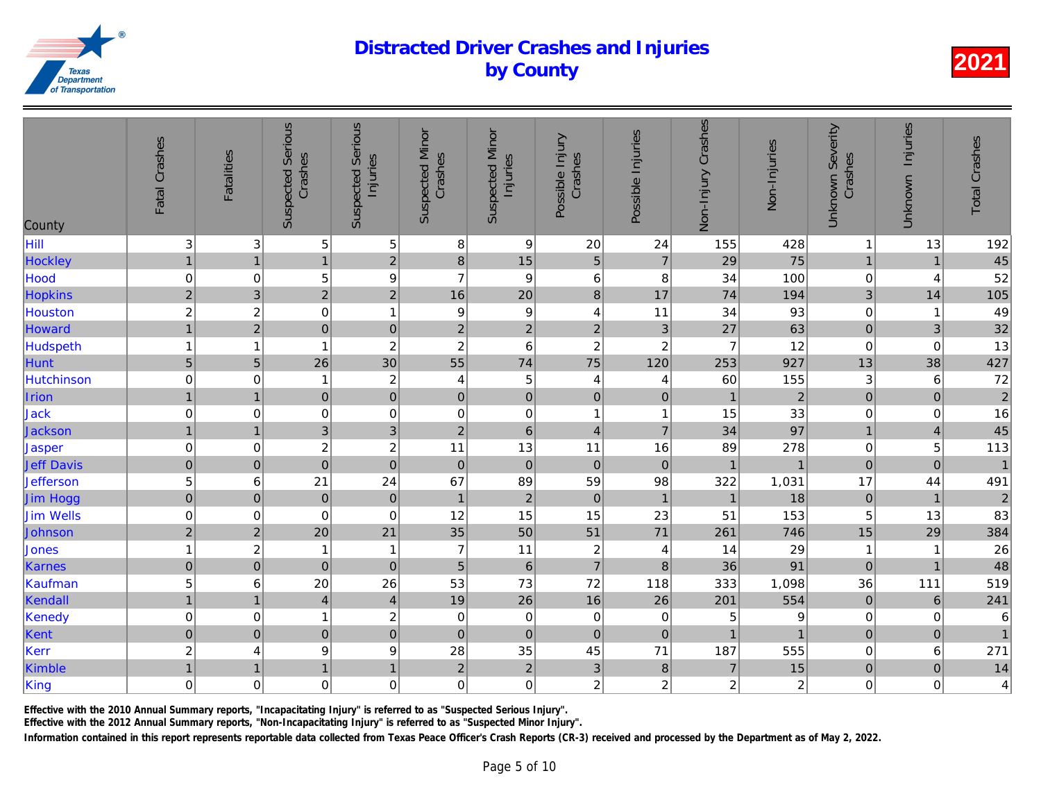| County            | Fatal Crashes  | <b>Fatalities</b> | <b>Suspected Serious</b><br>Crashes | Serious<br>Injuries<br>Suspected | <b>Suspected Minor</b><br>Crashes | <b>Suspected Minor</b><br>Injuries | Possible Injury<br>Crashes | Possible Injuries | Non-Injury Crashes | Non-Injuries   |
|-------------------|----------------|-------------------|-------------------------------------|----------------------------------|-----------------------------------|------------------------------------|----------------------------|-------------------|--------------------|----------------|
| Hill              | 3              | 3                 | 5                                   | $\sqrt{5}$                       | 8                                 | $\boldsymbol{9}$                   | 20                         | 24                | 155                | 428            |
| Hockley           | $\mathbf{1}$   | $\overline{1}$    | $\mathbf{1}$                        | $\overline{2}$                   | $\bf8$                            | 15                                 | 5                          | $\overline{7}$    | 29                 | 75             |
| Hood              | $\pmb{0}$      | 0                 | 5                                   | $\boldsymbol{9}$                 | $\overline{7}$                    | $\boldsymbol{9}$                   | $\,6$                      | 8                 | 34                 | 100            |
| <b>Hopkins</b>    | $\sqrt{2}$     | 3                 | $\overline{2}$                      | $\overline{2}$                   | 16                                | 20                                 | $\boldsymbol{8}$           | 17                | 74                 | 194            |
| Houston           | $\overline{c}$ | $\overline{c}$    | $\boldsymbol{0}$                    | $\mathbf{1}$                     | $\boldsymbol{9}$                  | $\boldsymbol{9}$                   | $\overline{4}$             | 11                | 34                 | 93             |
| Howard            | $\overline{1}$ | $\overline{2}$    | $\overline{0}$                      | $\mathbf 0$                      | $\overline{2}$                    | $\overline{2}$                     | $\overline{2}$             | $\mathbf{3}$      | 27                 | 63             |
| Hudspeth          | $\mathbf{1}$   | 1                 |                                     | $\overline{c}$                   | $\boldsymbol{2}$                  | $6\phantom{1}6$                    | $\overline{c}$             | $\boldsymbol{2}$  | $\overline{7}$     | 12             |
| Hunt              | $\overline{5}$ | $\overline{5}$    | 26                                  | 30                               | 55                                | 74                                 | 75                         | 120               | 253                | 927            |
| Hutchinson        | $\pmb{0}$      | 0                 | 1                                   | $\overline{c}$                   | 4                                 | $\mathbf 5$                        | 4                          | 4                 | 60                 | 155            |
| Irion             | $\mathbf{1}$   | $\overline{1}$    | $\mathbf 0$                         | $\mathbf 0$                      | $\pmb{0}$                         | $\mathsf{O}\xspace$                | $\mathbf 0$                | $\mathbf{0}$      | $\mathbf{1}$       | $\overline{a}$ |
| Jack              | $\pmb{0}$      | $\mathbf 0$       | 0                                   | $\mathbf 0$                      | 0                                 | $\pmb{0}$                          | $\mathbf{1}$               | -1                | 15                 | 33             |
| Jackson           | $\mathbf{1}$   | $\overline{1}$    | $\overline{3}$                      | $\overline{3}$                   | $\overline{2}$                    | 6                                  | $\overline{\mathbf{4}}$    | $\overline{7}$    | 34                 | 97             |
| $\sf Jasper$      | $\pmb{0}$      | 0                 | $\overline{\mathbf{c}}$             | $\overline{c}$                   | 11                                | 13                                 | 11                         | 16                | 89                 | 278            |
| <b>Jeff Davis</b> | $\pmb{0}$      | $\pmb{0}$         | $\mathbf 0$                         | $\mathbf 0$                      | $\mathbf 0$                       | $\mathbf 0$                        | $\mathbf 0$                | $\pmb{0}$         | $\overline{1}$     | $\overline{1}$ |
| <b>Jefferson</b>  | 5              | 6                 | 21                                  | 24                               | 67                                | 89                                 | 59                         | 98                | 322                | 1,031          |
| Jim Hogg          | $\pmb{0}$      | $\boldsymbol{0}$  | $\mathbf 0$                         | $\boldsymbol{0}$                 | $\mathbf{1}$                      | $\sqrt{2}$                         | $\pmb{0}$                  | $\mathbf{1}$      | $\overline{1}$     | 18             |
| <b>Jim Wells</b>  | $\mathbf 0$    | 0                 | $\mathbf 0$                         | $\mathbf 0$                      | 12                                | 15                                 | 15                         | 23                | 51                 | 153            |
| Johnson           | $\overline{2}$ | $\overline{2}$    | 20                                  | 21                               | 35                                | 50                                 | 51                         | 71                | 261                | 746            |
| Jones             | $\mathbf{1}$   | $\boldsymbol{2}$  | 1                                   | $\mathbf{1}$                     | $\overline{7}$                    | 11                                 | $\boldsymbol{2}$           | 4                 | 14                 | 29             |
| Karnes            | $\mathbf 0$    | $\mathbf 0$       | $\pmb{0}$                           | $\mathbf 0$                      | $\overline{5}$                    | $\,6\,$                            | $\overline{7}$             | $\bf 8$           | 36                 | 91             |
| Kaufman           | 5              | 6                 | 20                                  | 26                               | 53                                | 73                                 | 72                         | 118               | 333                | 1,098          |
| Kendall           | $\mathbf{1}$   | $\overline{1}$    | $\overline{4}$                      | $\overline{a}$                   | 19                                | 26                                 | 16                         | 26                | 201                | 554            |
| Kenedy            | $\pmb{0}$      | 0                 | 1                                   | $\overline{c}$                   | 0                                 | $\,0\,$                            | $\pmb{0}$                  | 0                 | 5                  | 9              |
| Kent              | $\mathbf 0$    | $\mathbf 0$       | $\mathbf 0$                         | $\overline{0}$                   | $\pmb{0}$                         | $\mathbf 0$                        | $\mathbf 0$                | $\mathbf 0$       | 1                  | $\overline{1}$ |
| Kerr              | $\overline{c}$ | 4                 | $\boldsymbol{9}$                    | 9                                | 28                                | 35                                 | 45                         | 71                | 187                | 555            |
| Kimble            | $\mathbf{1}$   | $\overline{1}$    | $\overline{1}$                      | $\mathbf{1}$                     | $\mathbf 2$                       | $\sqrt{2}$                         | $\mathsf 3$                | $\bf 8$           | $\overline{7}$     | 15             |
| King              | $\mathbf 0$    | 0                 | $\mathbf 0$                         | 0                                | 0                                 | $\mathbf 0$                        | $\overline{c}$             | 2                 | $\overline{c}$     | $\overline{a}$ |
|                   |                |                   |                                     |                                  |                                   |                                    |                            |                   |                    |                |

Effective with the 2010 Annual Summary reports, "Incapacitating Injury" is referred to as "Suspected Serious Injury".

Effective with the 2012 Annual Summary reports, "Non-Incapacitating Injury" is referred to as "Suspected Minor Injury".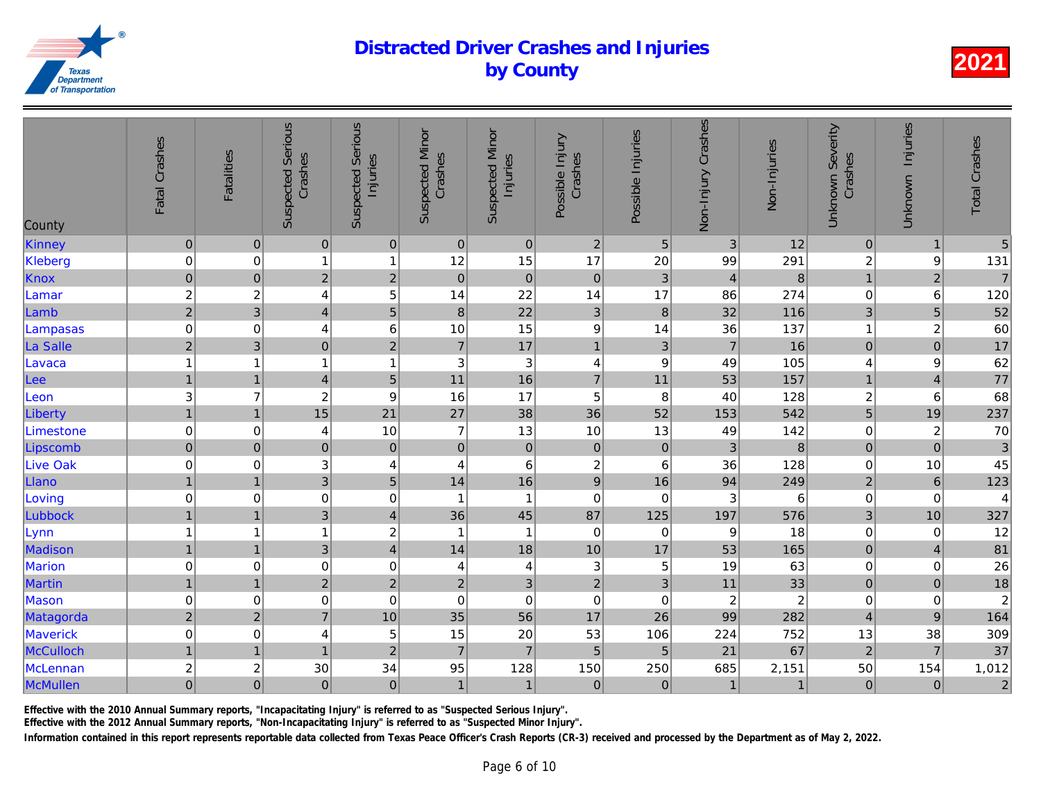| County          | Fatal Crashes           | Fatalities              | <b>Suspected Serious</b><br>Crashes | <b>Suspected Serious</b><br>Injuries | <b>Suspected Minor</b><br>Crashes | <b>Suspected Minor</b><br>Injuries | Possible Injury<br>Crashes | Possible Injuries         | Non-Injury Crashes | Non-Injuries            |
|-----------------|-------------------------|-------------------------|-------------------------------------|--------------------------------------|-----------------------------------|------------------------------------|----------------------------|---------------------------|--------------------|-------------------------|
| Kinney          | $\pmb{0}$               | $\pmb{0}$               | $\pmb{0}$                           | $\mathbf 0$                          | $\pmb{0}$                         | $\pmb{0}$                          | $\sqrt{2}$                 | $\sqrt{5}$                | 3                  | 12                      |
| Kleberg         | $\mathbf 0$             | 0                       | 1                                   | $\overline{1}$                       | 12                                | 15                                 | 17                         | 20                        | 99                 | 291                     |
| Knox            | $\pmb{0}$               | $\mathbf 0$             | $\overline{2}$                      | $\mathbf 2$                          | $\pmb{0}$                         | $\pmb{0}$                          | $\pmb{0}$                  | $\mathbf{3}$              | $\overline{4}$     | $\boldsymbol{8}$        |
| Lamar           | $\overline{c}$          | $\overline{\mathbf{c}}$ | 4                                   | 5                                    | 14                                | 22                                 | 14                         | 17                        | 86                 | 274                     |
| Lamb            | $\overline{2}$          | 3                       | $\vert 4 \vert$                     | $\overline{5}$                       | 8                                 | 22                                 | $\ensuremath{\mathsf{3}}$  | $\boldsymbol{8}$          | 32                 | 116                     |
| Lampasas        | $\mathbf 0$             | 0                       | 4                                   | $\,6$                                | 10                                | 15                                 | $\boldsymbol{9}$           | 14                        | 36                 | 137                     |
| La Salle        | $\overline{2}$          | 3                       | $\overline{0}$                      | $\overline{2}$                       | $\overline{7}$                    | 17                                 | $\mathbf{1}$               | $\mathbf{3}$              | $\overline{7}$     | 16                      |
| Lavaca          | $\mathbf{1}$            | 1                       | $\mathbf{1}$                        | $\mathbf{1}$                         | 3                                 | $\ensuremath{\mathsf{3}}$          | 4                          | $\boldsymbol{9}$          | 49                 | 105                     |
| Lee             | $\mathbf{1}$            | $\overline{1}$          | $\vert 4 \vert$                     | $\overline{5}$                       | 11                                | 16                                 | $\overline{7}$             | 11                        | 53                 | 157                     |
| Leon            | $\sqrt{3}$              | $\overline{7}$          | $\overline{c}$                      | $\boldsymbol{9}$                     | 16                                | 17                                 | 5                          | 8                         | 40                 | 128                     |
| Liberty         | $\mathbf{1}$            | $\overline{1}$          | 15                                  | 21                                   | 27                                | 38                                 | 36                         | 52                        | 153                | 542                     |
| Limestone       | $\boldsymbol{0}$        | 0                       | 4                                   | 10                                   | $\overline{7}$                    | 13                                 | 10                         | 13                        | 49                 | 142                     |
| Lipscomb        | $\pmb{0}$               | $\mathbf 0$             | $\overline{0}$                      | $\pmb{0}$                            | $\mathbf 0$                       | $\overline{0}$                     | $\pmb{0}$                  | $\pmb{0}$                 | $\mathfrak{S}$     | $\boldsymbol{8}$        |
| <b>Live Oak</b> | $\pmb{0}$               | 0                       | 3                                   | $\overline{\mathbf{4}}$              | 4                                 | $\,6\,$                            | $\overline{c}$             | 6                         | 36                 | 128                     |
| Llano           | $\mathbf{1}$            | $\overline{1}$          | $\overline{3}$                      | $\overline{5}$                       | 14                                | 16                                 | $\overline{9}$             | 16                        | 94                 | 249                     |
| Loving          | $\pmb{0}$               | 0                       | $\mathbf 0$                         | $\boldsymbol{0}$                     | 1                                 | $\overline{1}$                     | $\mathbf 0$                | 0                         | 3                  | 6                       |
| Lubbock         | $\overline{1}$          | $\overline{1}$          | $\overline{3}$                      | $\overline{4}$                       | 36                                | 45                                 | 87                         | 125                       | 197                | 576                     |
| Lynn            | $\mathbf 1$             | 1                       | $\mathbf{1}$                        | $\overline{\mathbf{c}}$              | 1                                 | 1                                  | $\mathbf 0$                | 0                         | 9                  | 18                      |
| Madison         | $\mathbf{1}$            | $\overline{1}$          | $\overline{3}$                      | $\overline{4}$                       | 14                                | 18                                 | 10                         | 17                        | 53                 | 165                     |
| <b>Marion</b>   | $\pmb{0}$               | 0                       | $\mathbf 0$                         | $\boldsymbol{0}$                     | 4                                 | $\overline{4}$                     | 3                          | $\sqrt{5}$                | 19                 | 63                      |
| <b>Martin</b>   | $\mathbf{1}$            | $\overline{1}$          | $\overline{2}$                      | $\overline{a}$                       | $\overline{c}$                    | $\ensuremath{\mathsf{3}}$          | $\overline{a}$             | $\ensuremath{\mathsf{3}}$ | 11                 | 33                      |
| Mason           | $\pmb{0}$               | 0                       | 0                                   | $\mathbf 0$                          | $\pmb{0}$                         | $\mathbf 0$                        | $\mathbf 0$                | $\,0\,$                   | $\overline{c}$     | $\overline{\mathbf{c}}$ |
| Matagorda       | $\overline{2}$          | $\overline{2}$          | $\overline{7}$                      | 10                                   | 35                                | 56                                 | 17                         | 26                        | 99                 | 282                     |
| <b>Maverick</b> | $\pmb{0}$               | 0                       | 4                                   | 5                                    | 15                                | 20                                 | 53                         | 106                       | 224                | 752                     |
| McCulloch       | $\mathbf{1}$            | $\overline{1}$          | $\mathbf{1}$                        | $\overline{2}$                       | $\overline{7}$                    | $\overline{7}$                     | 5                          | 5                         | 21                 | 67                      |
| <b>McLennan</b> | $\overline{\mathbf{c}}$ | $\overline{\mathbf{c}}$ | 30                                  | 34                                   | 95                                | 128                                | 150                        | 250                       | 685                | 2,151                   |
| McMullen        | $\overline{0}$          | $\pmb{0}$               | 0                                   | $\mathbf 0$                          | $\overline{1}$                    | $\mathbf{1}$                       | $\mathbf 0$                | $\pmb{0}$                 | $\mathbf{1}$       | $\overline{1}$          |

Effective with the 2010 Annual Summary reports, "Incapacitating Injury" is referred to as "Suspected Serious Injury".

Effective with the 2012 Annual Summary reports, "Non-Incapacitating Injury" is referred to as "Suspected Minor Injury".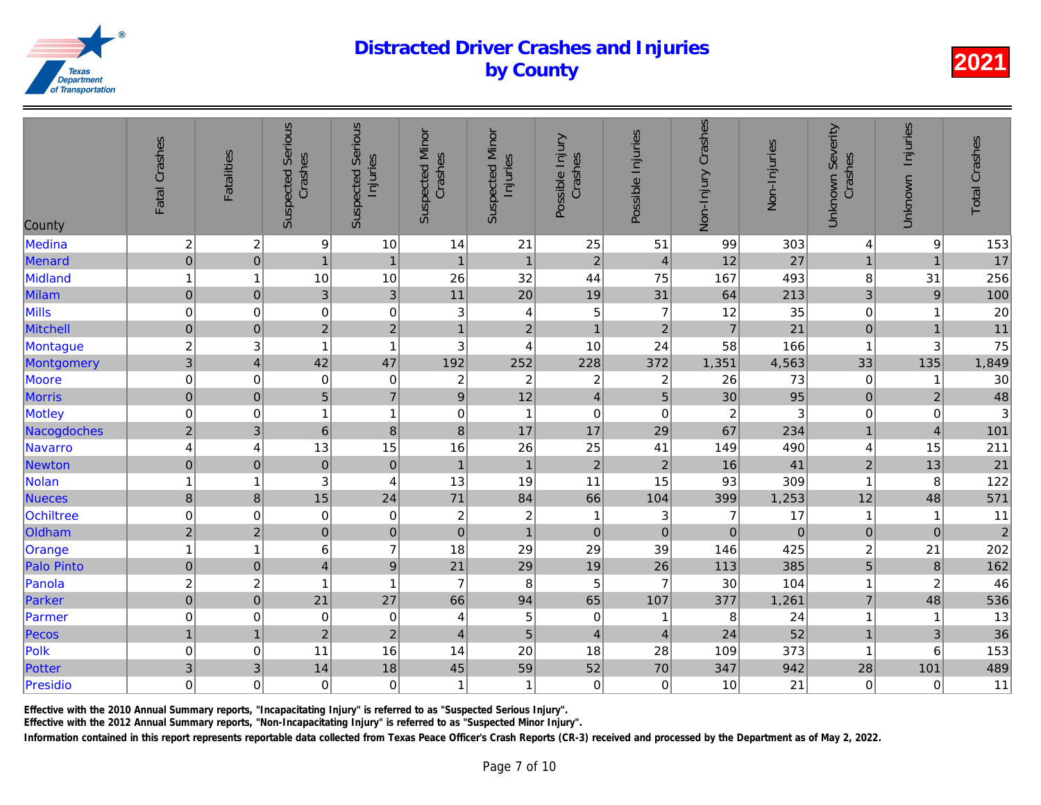| County            | Fatal Crashes           | <b>Fatalities</b>       | <b>Suspected Serious</b><br>Crashes | Serious<br>Injuries<br>Suspected | <b>Suspected Minor</b><br>Crashes | <b>Suspected Minor</b><br>Injuries | Possible Injury<br>Crashes | Possible Injuries | Non-Injury Crashes | Non-Injuries   |
|-------------------|-------------------------|-------------------------|-------------------------------------|----------------------------------|-----------------------------------|------------------------------------|----------------------------|-------------------|--------------------|----------------|
| Medina            | $\boldsymbol{2}$        | $\overline{\mathbf{c}}$ | 9                                   | 10                               | 14                                | 21                                 | 25                         | 51                | 99                 | 303            |
| Menard            | $\overline{0}$          | $\pmb{0}$               | $\mathbf{1}$                        | $\mathbf{1}$                     | $\mathbf{1}$                      | $\mathbf{1}$                       | $\overline{c}$             | $\overline{4}$    | 12                 | 27             |
| Midland           | $\mathbf{1}$            | 1                       | 10                                  | 10                               | 26                                | 32                                 | 44                         | 75                | 167                | 493            |
| Milam             | $\overline{0}$          | $\pmb{0}$               | $\mathbf{3}$                        | $\mathbf{3}$                     | 11                                | 20                                 | 19                         | 31                | 64                 | 213            |
| Mills             | $\mathbf 0$             | 0                       | 0                                   | $\mathbf 0$                      | 3                                 | $\overline{4}$                     | 5                          | $\overline{7}$    | 12                 | 35             |
| <b>Mitchell</b>   | $\mathbf 0$             | $\overline{0}$          | $\overline{2}$                      | $\overline{2}$                   | $\overline{1}$                    | $\overline{2}$                     | $\mathbf{1}$               | $\overline{2}$    | $\overline{7}$     | 21             |
| Montague          | $\overline{c}$          | 3                       | 1                                   | $\mathbf{1}$                     | $\ensuremath{\mathsf{3}}$         | 4                                  | 10                         | 24                | 58                 | 166            |
| Montgomery        | $\overline{3}$          | $\overline{4}$          | 42                                  | 47                               | 192                               | 252                                | 228                        | 372               | 1,351              | 4,563          |
| Moore             | $\mathbf 0$             | $\mathbf 0$             | $\boldsymbol{0}$                    | $\mathbf 0$                      | $\boldsymbol{2}$                  | $\sqrt{2}$                         | $\boldsymbol{2}$           | $\boldsymbol{2}$  | 26                 | 73             |
| <b>Morris</b>     | $\mathbf 0$             | $\overline{0}$          | 5                                   | $\overline{7}$                   | $\boldsymbol{9}$                  | 12                                 | $\overline{\mathbf{4}}$    | 5                 | 30                 | 95             |
| Motley            | $\mathbf 0$             | 0                       | 1                                   | $\mathbf{1}$                     | $\mathbf 0$                       | $\mathbf{1}$                       | $\mathbf 0$                | $\mathbf 0$       | $\overline{c}$     | 3              |
| Nacogdoches       | $\overline{2}$          | $\mathbf{3}$            | 6                                   | $\bf{8}$                         | $\bf8$                            | 17                                 | 17                         | 29                | 67                 | 234            |
| Navarro           | $\overline{\mathbf{4}}$ | 4                       | 13                                  | 15                               | 16                                | 26                                 | 25                         | 41                | 149                | 490            |
| <b>Newton</b>     | $\mathbf 0$             | $\mathbf 0$             | $\pmb{0}$                           | $\mathbf 0$                      | $\mathbf{1}$                      | $\overline{1}$                     | $\overline{2}$             | $\overline{2}$    | 16                 | 41             |
| Nolan             | $\mathbf{1}$            | 1                       | 3                                   | 4                                | 13                                | 19                                 | 11                         | 15                | 93                 | 309            |
| <b>Nueces</b>     | $\delta$                | $\bf 8$                 | 15                                  | 24                               | 71                                | 84                                 | 66                         | 104               | 399                | 1,253          |
| Ochiltree         | $\boldsymbol{0}$        | 0                       | $\mathbf 0$                         | $\pmb{0}$                        | $\boldsymbol{2}$                  | $\sqrt{2}$                         | $\mathbf{1}$               | $\mathbf{3}$      | $\overline{7}$     | 17             |
| Oldham            | $\mathbf 2$             | $\overline{2}$          | $\pmb{0}$                           | $\overline{0}$                   | $\mathbf 0$                       | $\overline{1}$                     | $\mathbf 0$                | $\mathbf 0$       | $\pmb{0}$          | $\overline{O}$ |
| Orange            | $\mathbf{1}$            | 1                       | 6                                   | $\overline{7}$                   | 18                                | 29                                 | 29                         | 39                | 146                | 425            |
| <b>Palo Pinto</b> | $\mathbf 0$             | $\mathbf 0$             | $\overline{4}$                      | $\overline{9}$                   | 21                                | 29                                 | 19                         | 26                | 113                | 385            |
| Panola            | $\overline{c}$          | $\overline{\mathbf{c}}$ | 1                                   | $\mathbf{1}$                     | $\overline{7}$                    | 8                                  | 5                          | $\overline{7}$    | 30                 | 104            |
| Parker            | $\overline{0}$          | $\pmb{0}$               | 21                                  | 27                               | 66                                | 94                                 | 65                         | 107               | 377                | 1,261          |
| Parmer            | $\mathbf 0$             | 0                       | $\pmb{0}$                           | 0                                | 4                                 | $\mathbf 5$                        | $\pmb{0}$                  | -1                | 8                  | 24             |
| Pecos             | $\mathbf{1}$            | $\overline{1}$          | $\overline{2}$                      | $\overline{c}$                   | $\overline{4}$                    | 5                                  | $\overline{4}$             | $\overline{4}$    | 24                 | 52             |
| Polk              | $\pmb{0}$               | $\mathbf 0$             | 11                                  | 16                               | 14                                | 20                                 | 18                         | 28                | 109                | 373            |
| Potter            | 3                       | 3                       | 14                                  | 18                               | 45                                | 59                                 | 52                         | 70                | 347                | 942            |
| Presidio          | $\mathbf 0$             | 0                       | $\mathbf 0$                         | 0                                | $\overline{1}$                    | $\mathbf{1}$                       | $\boldsymbol{0}$           | 0                 | 10                 | 21             |
|                   |                         |                         |                                     |                                  |                                   |                                    |                            |                   |                    |                |

Effective with the 2010 Annual Summary reports, "Incapacitating Injury" is referred to as "Suspected Serious Injury".

Effective with the 2012 Annual Summary reports, "Non-Incapacitating Injury" is referred to as "Suspected Minor Injury".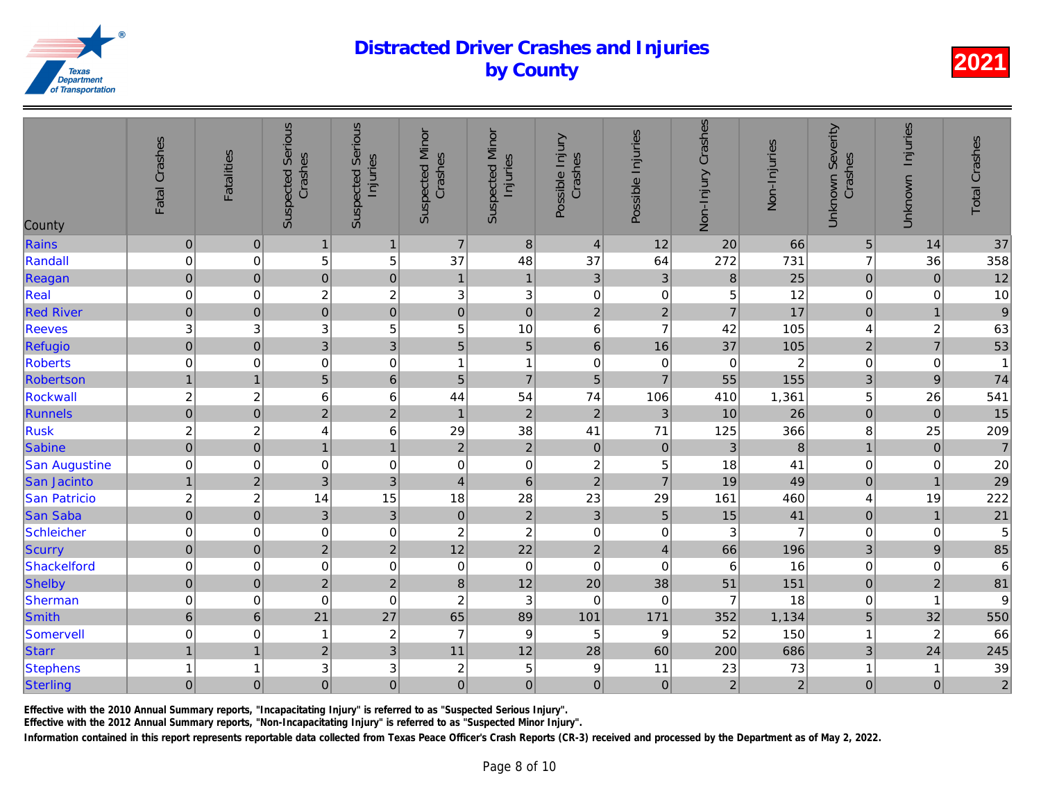| County               | Fatal Crashes             | <b>Fatalities</b> | <b>Suspected Serious</b><br>Crashes | Serious<br>Injuries<br>Suspected | <b>Suspected Minor</b><br>Crashes | <b>Suspected Minor</b><br>Injuries | Possible Injury<br>Crashes | Possible Injuries | Non-Injury Crashes | Non-Injuries   |
|----------------------|---------------------------|-------------------|-------------------------------------|----------------------------------|-----------------------------------|------------------------------------|----------------------------|-------------------|--------------------|----------------|
| Rains                | $\pmb{0}$                 | $\overline{0}$    | $\overline{1}$                      | 1                                | $\overline{7}$                    | $\bf 8$                            | $\overline{4}$             | 12                | 20                 | 66             |
| Randall              | $\mathbf 0$               | 0                 | 5                                   | 5                                | 37                                | 48                                 | 37                         | 64                | 272                | 731            |
| Reagan               | $\mathbf 0$               | $\pmb{0}$         | $\mathbf 0$                         | $\mathbf 0$                      | $\mathbf{1}$                      | $\mathbf{1}$                       | $\sqrt{3}$                 | $\mathbf{3}$      | $\bf 8$            | 25             |
| Real                 | $\mathbf 0$               | 0                 | $\overline{c}$                      | $\overline{c}$                   | $\ensuremath{\mathsf{3}}$         | $\ensuremath{\mathsf{3}}$          | $\boldsymbol{0}$           | $\pmb{0}$         | 5                  | 12             |
| <b>Red River</b>     | $\pmb{0}$                 | $\pmb{0}$         | $\overline{0}$                      | $\overline{0}$                   | $\mathbf 0$                       | $\overline{0}$                     | $\overline{c}$             | $\overline{2}$    | $\overline{7}$     | 17             |
| <b>Reeves</b>        | $\ensuremath{\mathsf{3}}$ | 3                 | $\sqrt{3}$                          | 5                                | 5                                 | 10                                 | $6\phantom{1}$             | $\overline{7}$    | 42                 | 105            |
| Refugio              | $\overline{0}$            | $\pmb{0}$         | $\overline{3}$                      | $\overline{3}$                   | 5                                 | $\overline{5}$                     | $\,6\,$                    | 16                | 37                 | 105            |
| <b>Roberts</b>       | $\pmb{0}$                 | 0                 | $\mathbf 0$                         | 0                                | $\overline{\mathbf{1}}$           | 1                                  | $\pmb{0}$                  | $\mathbf 0$       | $\mathbf 0$        | $\overline{a}$ |
| Robertson            | $\mathbf{1}$              | $\overline{1}$    | 5                                   | $\,$ 6 $\,$                      | 5                                 | $\overline{7}$                     | $\overline{5}$             | $\overline{7}$    | 55                 | 155            |
| Rockwall             | $\overline{\mathbf{c}}$   | $\overline{c}$    | 6                                   | $6\phantom{1}6$                  | 44                                | 54                                 | 74                         | 106               | 410                | 1,361          |
| Runnels              | $\overline{0}$            | $\boldsymbol{0}$  | $\overline{2}$                      | $\overline{c}$                   | $\mathbf{1}$                      | $\mathbf 2$                        | $\overline{2}$             | 3                 | 10                 | 26             |
| <b>Rusk</b>          | $\overline{c}$            | $\overline{c}$    | 4                                   | 6                                | 29                                | 38                                 | 41                         | 71                | 125                | 366            |
| Sabine               | $\overline{0}$            | $\pmb{0}$         | $\mathbf{1}$                        | $\overline{1}$                   | $\overline{2}$                    | $\overline{2}$                     | $\pmb{0}$                  | $\pmb{0}$         | $\mathbf{3}$       | $\bf{8}$       |
| <b>San Augustine</b> | $\mathbf 0$               | $\mathbf 0$       | $\mathbf 0$                         | $\mathbf 0$                      | $\mathbf 0$                       | $\mathbf 0$                        | $\overline{c}$             | $\,$ 5 $\,$       | 18                 | 41             |
| San Jacinto          | $\mathbf{1}$              | $\overline{2}$    | $\mathfrak{S}$                      | $\mathfrak{3}$                   | $\overline{\mathbf{4}}$           | $6\phantom{a}$                     | $\overline{2}$             | $\overline{7}$    | 19                 | 49             |
| San Patricio         | $\overline{\mathbf{c}}$   | $\overline{c}$    | 14                                  | 15                               | 18                                | 28                                 | 23                         | 29                | 161                | 460            |
| <b>San Saba</b>      | $\pmb{\mathsf{O}}$        | $\mathbf 0$       | $\mathfrak{S}$                      | $\mathbf{3}$                     | $\mathbf 0$                       | $\mathbf 2$                        | $\mathbf{3}$               | $\overline{5}$    | 15                 | 41             |
| Schleicher           | $\pmb{0}$                 | 0                 | $\mathbf 0$                         | 0                                | $\boldsymbol{2}$                  | $\boldsymbol{2}$                   | $\pmb{0}$                  | 0                 | 3                  | $\overline{7}$ |
| <b>Scurry</b>        | $\overline{0}$            | $\mathbf 0$       | $\overline{2}$                      | $\overline{2}$                   | 12                                | 22                                 | $\overline{c}$             | $\overline{4}$    | 66                 | 196            |
| Shackelford          | $\pmb{0}$                 | $\mathbf 0$       | $\pmb{0}$                           | $\pmb{0}$                        | $\mathbf 0$                       | $\pmb{0}$                          | $\mathbf 0$                | 0                 | 6                  | 16             |
| Shelby               | $\mathbf 0$               | $\pmb{0}$         | $\overline{2}$                      | $\overline{2}$                   | $\bf 8$                           | 12                                 | 20                         | 38                | 51                 | 151            |
| Sherman              | $\pmb{0}$                 | 0                 | $\mathbf 0$                         | $\mathbf 0$                      | $\boldsymbol{2}$                  | $\ensuremath{\mathsf{3}}$          | $\pmb{0}$                  | 0                 | 7                  | 18             |
| <b>Smith</b>         | $\boldsymbol{6}$          | $6\phantom{1}$    | 21                                  | 27                               | 65                                | 89                                 | 101                        | 171               | 352                | 1,134          |
| Somervell            | $\mathbf 0$               | $\mathbf 0$       | 1                                   | $\overline{c}$                   | $\overline{7}$                    | $\boldsymbol{9}$                   | 5                          | 9                 | 52                 | 150            |
| <b>Starr</b>         | $\mathbf{1}$              | $\overline{1}$    | $\overline{2}$                      | $\overline{3}$                   | 11                                | 12                                 | 28                         | 60                | 200                | 686            |
| <b>Stephens</b>      | $\mathbf{1}$              | 1                 | 3                                   | 3                                | $\overline{\mathbf{c}}$           | $\mathbf 5$                        | $\boldsymbol{9}$           | 11                | 23                 | 73             |
| Sterling             | $\mathbf 0$               | $\mathbf 0$       | $\mathbf 0$                         | $\mathbf 0$                      | $\mathbf 0$                       | $\overline{0}$                     | $\mathbf 0$                | $\mathbf 0$       | $\overline{2}$     | $\overline{a}$ |

Effective with the 2010 Annual Summary reports, "Incapacitating Injury" is referred to as "Suspected Serious Injury".

Effective with the 2012 Annual Summary reports, "Non-Incapacitating Injury" is referred to as "Suspected Minor Injury".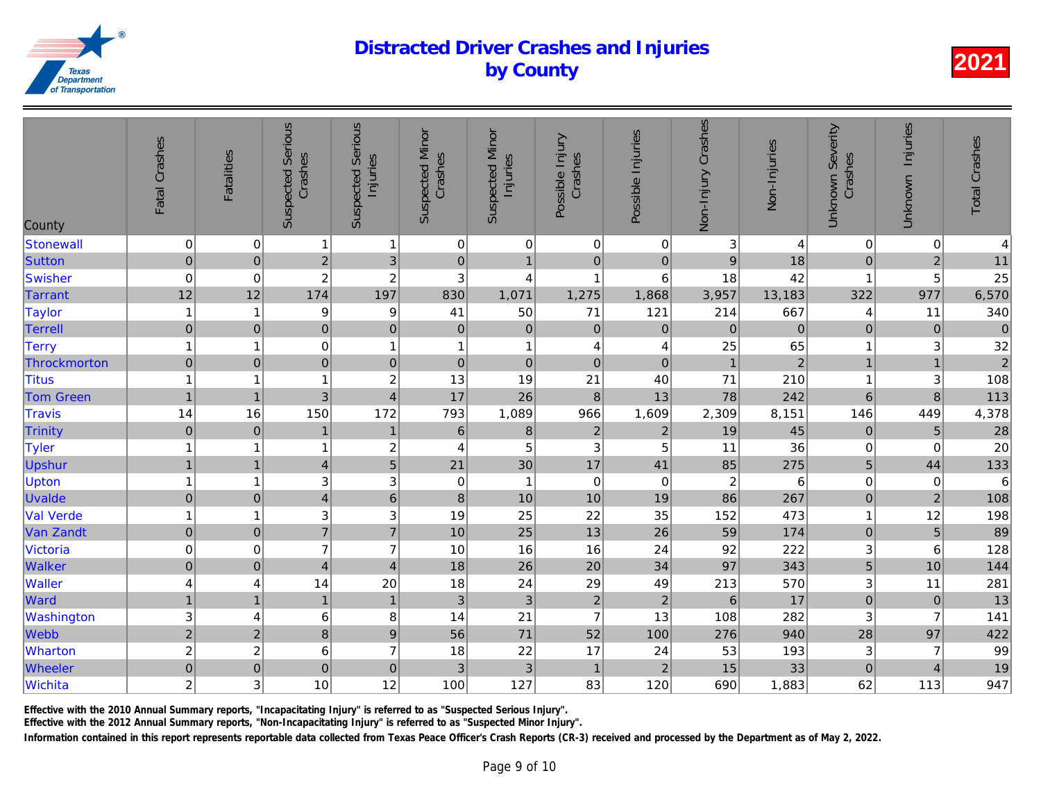| County           | Fatal Crashes             | <b>Fatalities</b>       | <b>Suspected Serious</b><br>Crashes | <b>Suspected Serious</b><br>Injuries | <b>Suspected Minor</b><br>Crashes | <b>Suspected Minor</b><br>Injuries | Possible Injury<br>Crashes | Possible Injuries | Non-Injury Crashes | Non-Injuries   |
|------------------|---------------------------|-------------------------|-------------------------------------|--------------------------------------|-----------------------------------|------------------------------------|----------------------------|-------------------|--------------------|----------------|
| Stonewall        | $\pmb{0}$                 | 0                       | 1                                   | $\mathbf{1}$                         | 0                                 | $\pmb{0}$                          | $\pmb{0}$                  | 0                 | 3                  | $\overline{4}$ |
| Sutton           | $\mathbf 0$               | $\pmb{0}$               | $\overline{2}$                      | $\ensuremath{\mathsf{3}}$            | $\pmb{0}$                         | $\mathbf{1}$                       | $\pmb{0}$                  | $\pmb{0}$         | $\mathsf g$        | 18             |
| Swisher          | $\mathbf 0$               | 0                       | $\overline{c}$                      | $\overline{c}$                       | $\ensuremath{\mathsf{3}}$         | 4                                  | $\mathbf{1}$               | 6                 | 18                 | 42             |
| <b>Tarrant</b>   | 12                        | 12                      | 174                                 | 197                                  | 830                               | 1,071                              | 1,275                      | 1,868             | 3,957              | 13,183         |
| <b>Taylor</b>    | $\mathbf{1}$              | -1                      | 9                                   | 9                                    | 41                                | 50                                 | 71                         | 121               | 214                | 667            |
| <b>Terrell</b>   | $\mathbf 0$               | $\boldsymbol{0}$        | $\mathbf 0$                         | $\pmb{0}$                            | $\boldsymbol{0}$                  | $\pmb{0}$                          | $\mathbf 0$                | $\mathbf{0}$      | $\mathbf 0$        | $\overline{0}$ |
| <b>Terry</b>     | $\mathbf{1}$              | 1                       | $\mathbf 0$                         | $\mathbf{1}$                         | 1                                 | $\mathbf{1}$                       | 4                          | 4                 | 25                 | 65             |
| Throckmorton     | $\mathbf 0$               | $\pmb{0}$               | $\mathbf 0$                         | $\pmb{0}$                            | $\pmb{0}$                         | $\pmb{0}$                          | $\mathbf 0$                | $\pmb{0}$         | $\mathbf{1}$       | $\overline{2}$ |
| <b>Titus</b>     | $\mathbf{1}$              | $\overline{\mathbf{1}}$ | 1                                   | $\overline{c}$                       | 13                                | 19                                 | 21                         | 40                | 71                 | 210            |
| <b>Tom Green</b> | $\mathbf{1}$              | $\overline{1}$          | 3                                   | $\overline{4}$                       | 17                                | 26                                 | $\boldsymbol{8}$           | 13                | 78                 | 242            |
| <b>Travis</b>    | 14                        | 16                      | 150                                 | 172                                  | 793                               | 1,089                              | 966                        | 1,609             | 2,309              | 8,151          |
| Trinity          | $\boldsymbol{0}$          | $\mathbf 0$             | $\mathbf{1}$                        | $\mathbf{1}$                         | $\,$ 6 $\,$                       | $\bf 8$                            | $\sqrt{2}$                 | $\sqrt{2}$        | 19                 | 45             |
| Tyler            | $\mathbf{1}$              | 1                       | 1                                   | $\overline{c}$                       | $\overline{4}$                    | 5                                  | $\mathbf 3$                | 5                 | 11                 | 36             |
| <b>Upshur</b>    | $\mathbf{1}$              | $\overline{1}$          | $\overline{4}$                      | $\overline{5}$                       | 21                                | 30                                 | 17                         | 41                | 85                 | 275            |
| <b>Upton</b>     | $\mathbf{1}$              | 1                       | $\ensuremath{\mathsf{3}}$           | $\mathsf 3$                          | 0                                 | $\mathbf{1}$                       | $\mathbf 0$                | $\mathbf 0$       | $\overline{c}$     | 6              |
| <b>Uvalde</b>    | $\mathbf 0$               | $\boldsymbol{0}$        | $\overline{4}$                      | $\,$ 6 $\,$                          | $\bf 8$                           | 10                                 | 10                         | 19                | 86                 | 267            |
| <b>Val Verde</b> | $\mathbf{1}$              | 1                       | $\ensuremath{\mathsf{3}}$           | 3                                    | 19                                | 25                                 | 22                         | 35                | 152                | 473            |
| Van Zandt        | $\overline{0}$            | $\pmb{0}$               | $\overline{7}$                      | $\overline{7}$                       | 10                                | 25                                 | 13                         | 26                | 59                 | 174            |
| Victoria         | $\pmb{0}$                 | $\mathbf 0$             | $\overline{7}$                      | $\overline{7}$                       | 10                                | 16                                 | 16                         | 24                | 92                 | 222            |
| <b>Walker</b>    | $\mathbf 0$               | $\overline{0}$          | $\overline{4}$                      | $\overline{4}$                       | 18                                | 26                                 | 20                         | 34                | 97                 | 343            |
| <b>Waller</b>    | 4                         | 4                       | 14                                  | 20                                   | 18                                | 24                                 | 29                         | 49                | 213                | 570            |
| Ward             | $\mathbf{1}$              | $\overline{1}$          | $\mathbf{1}$                        | $\mathbf{1}$                         | 3                                 | $\sqrt{3}$                         | $\boldsymbol{2}$           | $\overline{c}$    | $\,6\,$            | 17             |
| Washington       | $\ensuremath{\mathsf{3}}$ | 4                       | $\,6$                               | 8                                    | 14                                | 21                                 | $\overline{7}$             | 13                | 108                | 282            |
| Webb             | $\overline{2}$            | $\overline{2}$          | $\bf8$                              | 9                                    | 56                                | 71                                 | 52                         | 100               | 276                | 940            |
| Wharton          | $\overline{c}$            | $\overline{c}$          | $\,6$                               | $\overline{7}$                       | 18                                | 22                                 | 17                         | 24                | 53                 | 193            |
| <b>Wheeler</b>   | $\overline{0}$            | $\boldsymbol{0}$        | $\mathbf 0$                         | $\mathbf 0$                          | 3                                 | 3                                  | $\mathbf{1}$               | $\overline{2}$    | 15                 | 33             |
| Wichita          | $\overline{c}$            | 3                       | 10                                  | 12                                   | 100                               | 127                                | 83                         | 120               | 690                | 1,883          |

Effective with the 2010 Annual Summary reports, "Incapacitating Injury" is referred to as "Suspected Serious Injury".

Effective with the 2012 Annual Summary reports, "Non-Incapacitating Injury" is referred to as "Suspected Minor Injury".